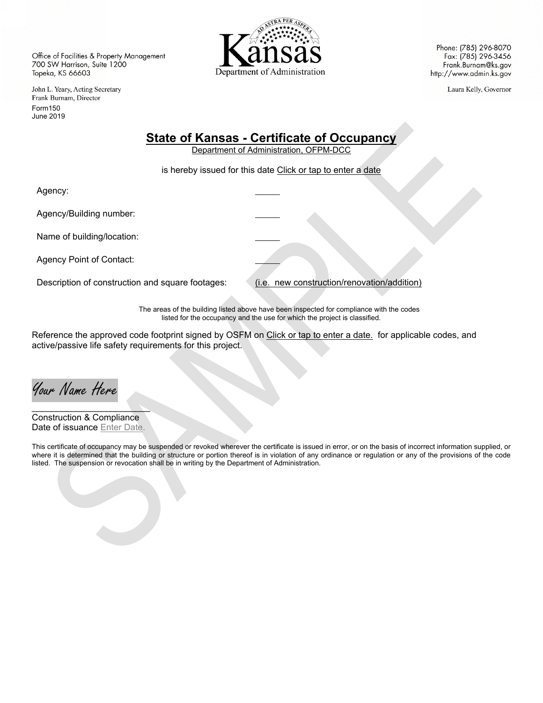Office of Facilities & Property Management 700 SW Harrison, Suite 1200 Topeka, KS 66603

John L. Yeary, Acting Secretary Frank Burnam, Director Form150 June 2019



Phone: (785) 296-8070 Fax: (785) 296-3456 Frank.Burnam@ks.gov http://www.admin.ks.gov

Laura Kelly, Governor

## **State of Kansas - Certificate of Occupancy**

Department of Administration, OFPM-DCC

is hereby issued for this date Click or tap to enter a date

Agency:

Agency/Building number:

Name of building/location:

Agency Point of Contact:

Description of construction and square footages: (i.e. new construction/renovation/addition)

The areas of the building listed above have been inspected for compliance with the codes listed for the occupancy and the use for which the project is classified.

Reference the approved code footprint signed by OSFM on Click or tap to enter a date. for applicable codes, and active/passive life safety requirements for this project.

Your Name Here

 $\Delta$  , we are the contract of the contract of  $\Delta$ Construction & Compliance Date of issuance Enter Date.

This certificate of occupancy may be suspended or revoked wherever the certificate is issued in error, or on the basis of incorrect information supplied, or where it is determined that the building or structure or portion thereof is in violation of any ordinance or regulation or any of the provisions of the code listed. The suspension or revocation shall be in writing by the Department of Administration.